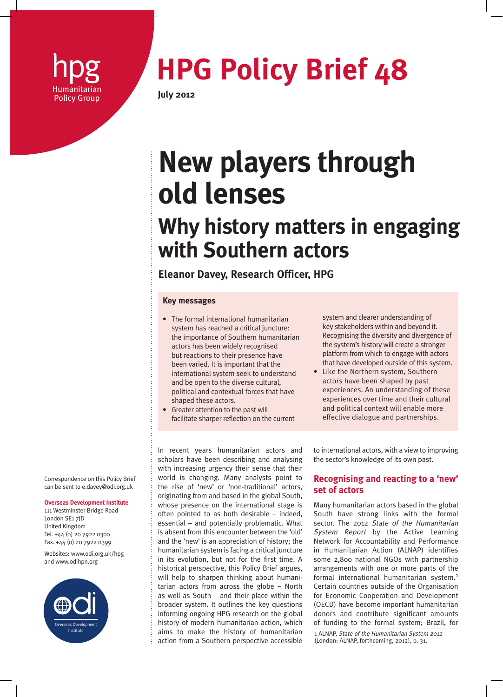

# **hpg <b>HPG Policy Brief 48**

## **New players through old lenses**

### **Why history matters in engaging with Southern actors**

#### **Eleanor Davey, Research Officer, HPG**

#### **Key messages**

- The formal international humanitarian system has reached a critical juncture: the importance of Southern humanitarian actors has been widely recognised but reactions to their presence have been varied. It is important that the international system seek to understand and be open to the diverse cultural, political and contextual forces that have shaped these actors.
- Greater attention to the past will facilitate sharper reflection on the current

In recent years humanitarian actors and scholars have been describing and analysing with increasing urgency their sense that their world is changing. Many analysts point to the rise of 'new' or 'non-traditional' actors, originating from and based in the global South, whose presence on the international stage is often pointed to as both desirable – indeed, essential – and potentially problematic. What is absent from this encounter between the 'old' and the 'new' is an appreciation of history; the humanitarian system is facing a critical juncture in its evolution, but not for the first time. A historical perspective, this Policy Brief argues, will help to sharpen thinking about humanitarian actors from across the globe – North as well as South – and their place within the broader system. It outlines the key questions informing ongoing HPG research on the global history of modern humanitarian action, which aims to make the history of humanitarian action from a Southern perspective accessible system and clearer understanding of key stakeholders within and beyond it. Recognising the diversity and divergence of the system's history will create a stronger platform from which to engage with actors that have developed outside of this system.

• Like the Northern system, Southern actors have been shaped by past experiences. An understanding of these experiences over time and their cultural and political context will enable more effective dialogue and partnerships.

to international actors, with a view to improving the sector's knowledge of its own past.

#### **Recognising and reacting to a 'new' set of actors**

Many humanitarian actors based in the global South have strong links with the formal sector. The 2012 State of the Humanitarian System Report by the Active Learning Network for Accountability and Performance in Humanitarian Action (ALNAP) identifies some 2,800 national NGOs with partnership arrangements with one or more parts of the formal international humanitarian system.1 Certain countries outside of the Organisation for Economic Cooperation and Development (OECD) have become important humanitarian donors and contribute significant amounts of funding to the formal system; Brazil, for

1 ALNAP, State of the Humanitarian System 2012 (London: ALNAP, forthcoming, 2012), p. 31.

Correspondence on this Policy Brief can be sent to e.davey@odi.org.uk

#### **Overseas Development Institute**

111 Westminster Bridge Road London SE1 7JD United Kingdom Tel. +44 (0) 20 7922 0300 Fax. +44 (0) 20 7922 0399

Websites: www.odi.org.uk/hpg and www.odihpn.org

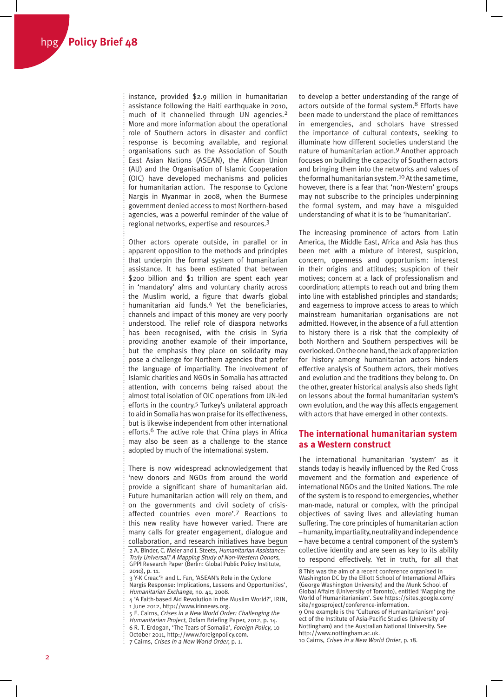instance, provided \$2.9 million in humanitarian assistance following the Haiti earthquake in 2010, much of it channelled through UN agencies.<sup>2</sup> More and more information about the operational role of Southern actors in disaster and conflict response is becoming available, and regional organisations such as the Association of South East Asian Nations (ASEAN), the African Union (AU) and the Organisation of Islamic Cooperation (OIC) have developed mechanisms and policies for humanitarian action. The response to Cyclone Nargis in Myanmar in 2008, when the Burmese government denied access to most Northern-based agencies, was a powerful reminder of the value of regional networks, expertise and resources.3

Other actors operate outside, in parallel or in apparent opposition to the methods and principles that underpin the formal system of humanitarian assistance. It has been estimated that between \$200 billion and \$1 trillion are spent each year in 'mandatory' alms and voluntary charity across the Muslim world, a figure that dwarfs global humanitarian aid funds.4 Yet the beneficiaries, channels and impact of this money are very poorly understood. The relief role of diaspora networks has been recognised, with the crisis in Syria providing another example of their importance, but the emphasis they place on solidarity may pose a challenge for Northern agencies that prefer the language of impartiality. The involvement of Islamic charities and NGOs in Somalia has attracted attention, with concerns being raised about the almost total isolation of OIC operations from UN-led efforts in the country.5 Turkey's unilateral approach to aid in Somalia has won praise for its effectiveness, but is likewise independent from other international efforts.<sup>6</sup> The active role that China plays in Africa may also be seen as a challenge to the stance adopted by much of the international system.

There is now widespread acknowledgement that 'new donors and NGOs from around the world provide a significant share of humanitarian aid. Future humanitarian action will rely on them, and on the governments and civil society of crisisaffected countries even more'.7 Reactions to this new reality have however varied. There are many calls for greater engagement, dialogue and collaboration, and research initiatives have begun

to develop a better understanding of the range of actors outside of the formal system.<sup>8</sup> Efforts have been made to understand the place of remittances in emergencies, and scholars have stressed the importance of cultural contexts, seeking to illuminate how different societies understand the nature of humanitarian action.9 Another approach focuses on building the capacity of Southern actors and bringing them into the networks and values of the formal humanitarian system.10 At the same time, however, there is a fear that 'non-Western' groups may not subscribe to the principles underpinning the formal system, and may have a misguided understanding of what it is to be 'humanitarian'.

The increasing prominence of actors from Latin America, the Middle East, Africa and Asia has thus been met with a mixture of interest, suspicion, concern, openness and opportunism: interest in their origins and attitudes; suspicion of their motives; concern at a lack of professionalism and coordination; attempts to reach out and bring them into line with established principles and standards; and eagerness to improve access to areas to which mainstream humanitarian organisations are not admitted. However, in the absence of a full attention to history there is a risk that the complexity of both Northern and Southern perspectives will be overlooked. On the one hand, the lack of appreciation for history among humanitarian actors hinders effective analysis of Southern actors, their motives and evolution and the traditions they belong to. On the other, greater historical analysis also sheds light on lessons about the formal humanitarian system's own evolution, and the way this affects engagement with actors that have emerged in other contexts.

#### **The international humanitarian system as a Western construct**

The international humanitarian 'system' as it stands today is heavily influenced by the Red Cross movement and the formation and experience of international NGOs and the United Nations. The role of the system is to respond to emergencies, whether man-made, natural or complex, with the principal objectives of saving lives and alleviating human suffering. The core principles of humanitarian action – humanity, impartiality, neutrality and independence – have become a central component of the system's collective identity and are seen as key to its ability to respond effectively. Yet in truth, for all that

<sup>2</sup> A. Binder, C. Meier and J. Steets, Humanitarian Assistance: Truly Universal? A Mapping Study of Non-Western Donors, GPPI Research Paper (Berlin: Global Public Policy Institute, 2010), p. 11.

<sup>3</sup> Y-K Creac'h and L. Fan, 'ASEAN's Role in the Cyclone Nargis Response: Implications, Lessons and Opportunities', Humanitarian Exchange, no. 41, 2008.

<sup>4 &#</sup>x27;A Faith-based Aid Revolution in the Muslim World?', IRIN, 1 June 2012, http://www.irinnews.org.

<sup>5</sup> E. Cairns, Crises in a New World Order: Challenging the Humanitarian Project, Oxfam Briefing Paper, 2012, p. 14. 6 R. T. Erdogan, 'The Tears of Somalia', Foreign Policy, 10 October 2011, http://www.foreignpolicy.com.

<sup>7</sup> Cairns, Crises in a New World Order, p. 1.÷

<sup>8</sup> This was the aim of a recent conference organised in Washington DC by the Elliott School of International Affairs (George Washington University) and the Munk School of Global Affairs (University of Toronto), entitled 'Mapping the World of Humanitarianism'. See https://sites.google.com/ site/ngosproject/conference-information.

<sup>9</sup> One example is the 'Cultures of Humanitarianism' project of the Institute of Asia-Pacific Studies (University of Nottingham) and the Australian National University. See http://www.nottingham.ac.uk.

<sup>10</sup> Cairns, Crises in a New World Order, p. 18.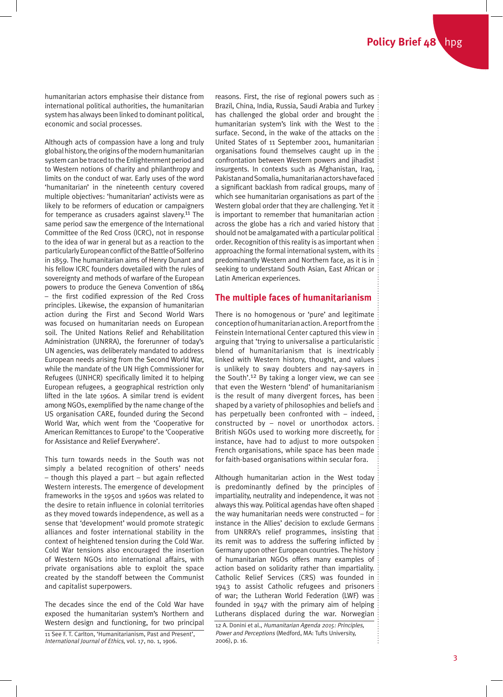humanitarian actors emphasise their distance from international political authorities, the humanitarian system has always been linked to dominant political, economic and social processes.

Although acts of compassion have a long and truly global history, the origins of the modern humanitarian system can be traced to the Enlightenment period and to Western notions of charity and philanthropy and limits on the conduct of war. Early uses of the word 'humanitarian' in the nineteenth century covered multiple objectives: 'humanitarian' activists were as likely to be reformers of education or campaigners for temperance as crusaders against slavery.<sup>11</sup> The same period saw the emergence of the International Committee of the Red Cross (ICRC), not in response to the idea of war in general but as a reaction to the particularly European conflict of the Battle of Solferino in 1859. The humanitarian aims of Henry Dunant and his fellow ICRC founders dovetailed with the rules of sovereignty and methods of warfare of the European powers to produce the Geneva Convention of 1864 – the first codified expression of the Red Cross principles. Likewise, the expansion of humanitarian action during the First and Second World Wars was focused on humanitarian needs on European soil. The United Nations Relief and Rehabilitation Administration (UNRRA), the forerunner of today's UN agencies, was deliberately mandated to address European needs arising from the Second World War, while the mandate of the UN High Commissioner for Refugees (UNHCR) specifically limited it to helping European refugees, a geographical restriction only lifted in the late 1960s. A similar trend is evident among NGOs, exemplified by the name change of the US organisation CARE, founded during the Second World War, which went from the 'Cooperative for American Remittances to Europe' to the 'Cooperative for Assistance and Relief Everywhere'.

This turn towards needs in the South was not simply a belated recognition of others' needs – though this played a part – but again reflected Western interests. The emergence of development frameworks in the 1950s and 1960s was related to the desire to retain influence in colonial territories as they moved towards independence, as well as a sense that 'development' would promote strategic alliances and foster international stability in the context of heightened tension during the Cold War. Cold War tensions also encouraged the insertion of Western NGOs into international affairs, with private organisations able to exploit the space created by the standoff between the Communist and capitalist superpowers.

The decades since the end of the Cold War have exposed the humanitarian system's Northern and Western design and functioning, for two principal

11 See F. T. Carlton, 'Humanitarianism, Past and Present', International Journal of Ethics, vol. 17, no. 1, 1906.

reasons. First, the rise of regional powers such as Brazil, China, India, Russia, Saudi Arabia and Turkey has challenged the global order and brought the humanitarian system's link with the West to the surface. Second, in the wake of the attacks on the United States of 11 September 2001, humanitarian organisations found themselves caught up in the confrontation between Western powers and jihadist insurgents. In contexts such as Afghanistan, Iraq, Pakistan and Somalia, humanitarian actors have faced a significant backlash from radical groups, many of which see humanitarian organisations as part of the Western global order that they are challenging. Yet it is important to remember that humanitarian action across the globe has a rich and varied history that should not be amalgamated with a particular political order. Recognition of this reality is as important when approaching the formal international system, with its predominantly Western and Northern face, as it is in seeking to understand South Asian, East African or Latin American experiences.

#### **The multiple faces of humanitarianism**

There is no homogenous or 'pure' and legitimate conception of humanitarian action. A report from the Feinstein International Center captured this view in arguing that 'trying to universalise a particularistic blend of humanitarianism that is inextricably linked with Western history, thought, and values is unlikely to sway doubters and nay-sayers in the South'.12 By taking a longer view, we can see that even the Western 'blend' of humanitarianism is the result of many divergent forces, has been shaped by a variety of philosophies and beliefs and has perpetually been confronted with – indeed, constructed by – novel or unorthodox actors. British NGOs used to working more discreetly, for instance, have had to adjust to more outspoken French organisations, while space has been made for faith-based organisations within secular fora.

Although humanitarian action in the West today is predominantly defined by the principles of impartiality, neutrality and independence, it was not always this way. Political agendas have often shaped the way humanitarian needs were constructed – for instance in the Allies' decision to exclude Germans from UNRRA's relief programmes, insisting that its remit was to address the suffering inflicted by Germany upon other European countries. The history of humanitarian NGOs offers many examples of action based on solidarity rather than impartiality. Catholic Relief Services (CRS) was founded in 1943 to assist Catholic refugees and prisoners of war; the Lutheran World Federation (LWF) was founded in 1947 with the primary aim of helping Lutherans displaced during the war. Norwegian

12 A. Donini et al., Humanitarian Agenda 2015: Principles, Power and Perceptions (Medford, MA: Tufts University, 2006), p. 16.